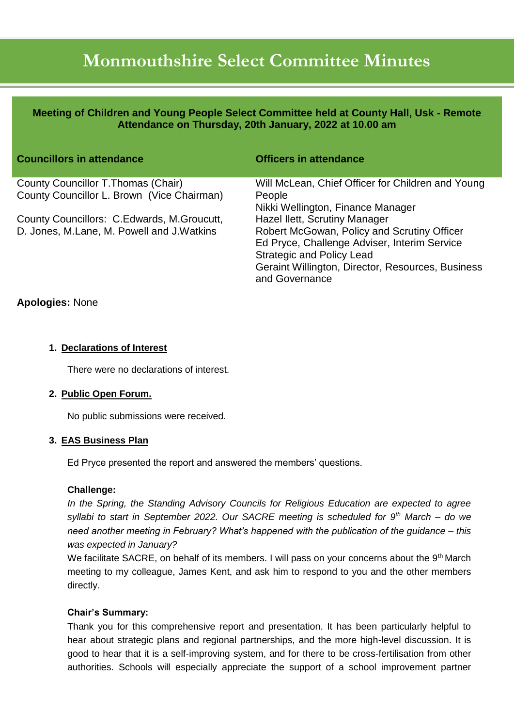# **Monmouthshire Select Committee Minutes**

**Meeting of Children and Young People Select Committee held at County Hall, Usk - Remote Attendance on Thursday, 20th January, 2022 at 10.00 am**

| <b>Councillors in attendance</b>           | <b>Officers in attendance</b>                                       |
|--------------------------------------------|---------------------------------------------------------------------|
| County Councillor T. Thomas (Chair)        | Will McLean, Chief Officer for Children and Young                   |
| County Councillor L. Brown (Vice Chairman) | People                                                              |
|                                            | Nikki Wellington, Finance Manager                                   |
| County Councillors: C.Edwards, M.Groucutt, | Hazel Ilett, Scrutiny Manager                                       |
| D. Jones, M.Lane, M. Powell and J.Watkins  | Robert McGowan, Policy and Scrutiny Officer                         |
|                                            | Ed Pryce, Challenge Adviser, Interim Service                        |
|                                            | <b>Strategic and Policy Lead</b>                                    |
|                                            | Geraint Willington, Director, Resources, Business<br>and Governance |

# **Apologies:** None

## **1. Declarations of Interest**

There were no declarations of interest.

## **2. Public Open Forum.**

No public submissions were received.

## **3. EAS Business Plan**

Ed Pryce presented the report and answered the members' questions.

## **Challenge:**

*In the Spring, the Standing Advisory Councils for Religious Education are expected to agree syllabi to start in September 2022. Our SACRE meeting is scheduled for 9th March – do we need another meeting in February? What's happened with the publication of the guidance – this was expected in January?*

We facilitate SACRE, on behalf of its members. I will pass on your concerns about the 9<sup>th</sup> March meeting to my colleague, James Kent, and ask him to respond to you and the other members directly.

## **Chair's Summary:**

Thank you for this comprehensive report and presentation. It has been particularly helpful to hear about strategic plans and regional partnerships, and the more high-level discussion. It is good to hear that it is a self-improving system, and for there to be cross-fertilisation from other authorities. Schools will especially appreciate the support of a school improvement partner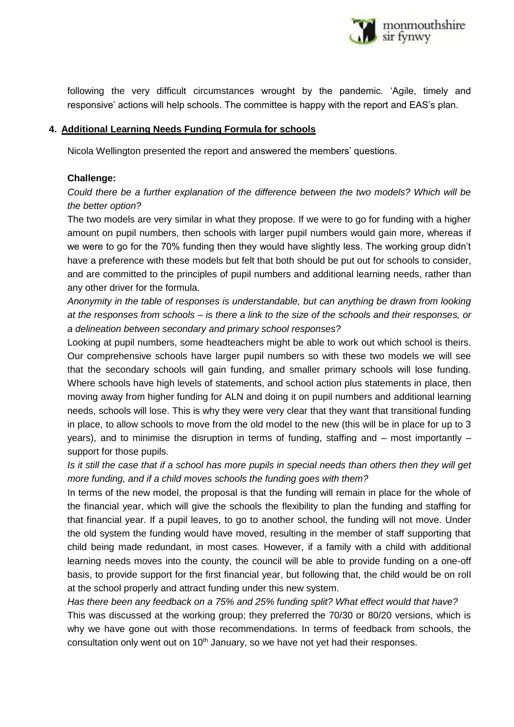

following the very difficult circumstances wrought by the pandemic. 'Agile, timely and responsive' actions will help schools. The committee is happy with the report and EAS's plan.

## **4. Additional Learning Needs Funding Formula for schools**

Nicola Wellington presented the report and answered the members' questions.

## **Challenge:**

*Could there be a further explanation of the difference between the two models? Which will be the better option?*

The two models are very similar in what they propose. If we were to go for funding with a higher amount on pupil numbers, then schools with larger pupil numbers would gain more, whereas if we were to go for the 70% funding then they would have slightly less. The working group didn't have a preference with these models but felt that both should be put out for schools to consider, and are committed to the principles of pupil numbers and additional learning needs, rather than any other driver for the formula.

*Anonymity in the table of responses is understandable, but can anything be drawn from looking at the responses from schools – is there a link to the size of the schools and their responses, or a delineation between secondary and primary school responses?*

Looking at pupil numbers, some headteachers might be able to work out which school is theirs. Our comprehensive schools have larger pupil numbers so with these two models we will see that the secondary schools will gain funding, and smaller primary schools will lose funding. Where schools have high levels of statements, and school action plus statements in place, then moving away from higher funding for ALN and doing it on pupil numbers and additional learning needs, schools will lose. This is why they were very clear that they want that transitional funding in place, to allow schools to move from the old model to the new (this will be in place for up to 3 years), and to minimise the disruption in terms of funding, staffing and – most importantly – support for those pupils.

*Is it still the case that if a school has more pupils in special needs than others then they will get more funding, and if a child moves schools the funding goes with them?*

In terms of the new model, the proposal is that the funding will remain in place for the whole of the financial year, which will give the schools the flexibility to plan the funding and staffing for that financial year. If a pupil leaves, to go to another school, the funding will not move. Under the old system the funding would have moved, resulting in the member of staff supporting that child being made redundant, in most cases. However, if a family with a child with additional learning needs moves into the county, the council will be able to provide funding on a one-off basis, to provide support for the first financial year, but following that, the child would be on roll at the school properly and attract funding under this new system.

*Has there been any feedback on a 75% and 25% funding split? What effect would that have?*

This was discussed at the working group; they preferred the 70/30 or 80/20 versions, which is why we have gone out with those recommendations. In terms of feedback from schools, the consultation only went out on  $10<sup>th</sup>$  January, so we have not yet had their responses.